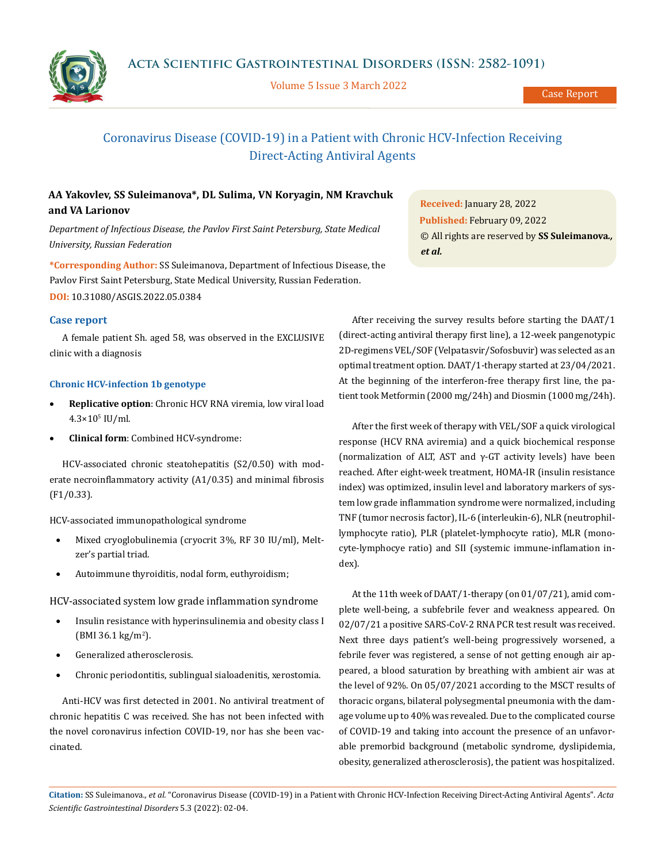

Volume 5 Issue 3 March 2022

Case Report

# Coronavirus Disease (COVID-19) in a Patient with Chronic HCV-Infection Receiving Direct-Acting Antiviral Agents

## **AA Yakovlev, SS Suleimanova\*, DL Sulima, VN Koryagin, NM Kravchuk and VA Larionov**

*Department of Infectious Disease, the Pavlov First Saint Petersburg, State Medical University, Russian Federation*

**\*Corresponding Author:** SS Suleimanova, Department of Infectious Disease, the Pavlov First Saint Petersburg, State Medical University, Russian Federation. **DOI:** [10.31080/ASGIS.2022.05.0384](https://actascientific.com/ASGIS/pdf/ASGIS-05-0384.pdf)

#### **Case report**

A female patient Sh. aged 58, was observed in the EXCLUSIVE clinic with a diagnosis

#### **Chronic HCV-infection 1b genotype**

- **Replicative option**: Chronic HCV RNA viremia, low viral load 4.3×105 IU/ml.
- **Clinical form**: Combined HCV-syndrome:

HCV-associated chronic steatohepatitis (S2/0.50) with moderate necroinflammatory activity (A1/0.35) and minimal fibrosis (F1/0.33).

HCV-associated immunopathological syndrome

- Mixed cryoglobulinemia (cryocrit 3%, RF 30 IU/ml), Meltzer's partial triad.
- Autoimmune thyroiditis, nodal form, euthyroidism;

HCV-associated system low grade inflammation syndrome

- Insulin resistance with hyperinsulinemia and obesity class I (BMI 36.1 kg/m<sup>2</sup> ).
- Generalized atherosclerosis.
- Chronic periodontitis, sublingual sialoadenitis, xerostomia.

Anti-HCV was first detected in 2001. No antiviral treatment of chronic hepatitis C was received. She has not been infected with the novel coronavirus infection COVID-19, nor has she been vaccinated.

**Received:** January 28, 2022 **Published:** February 09, 2022 © All rights are reserved by **SS Suleimanova***., et al.* 

After receiving the survey results before starting the DAAT/1 (direct-acting antiviral therapy first line), a 12-week pangenotypic 2D-regimens VEL/SOF (Velpatasvir/Sofosbuvir) was selected as an optimal treatment option. DAAT/1-therapy started at 23/04/2021. At the beginning of the interferon-free therapy first line, the patient took Metformin (2000 mg/24h) and Diosmin (1000 mg/24h).

After the first week of therapy with VEL/SOF a quick virological response (HCV RNA aviremia) and a quick biochemical response (normalization of ALT, AST and γ-GT activity levels) have been reached. After eight-week treatment, HOMA-IR (insulin resistance index) was optimized, insulin level and laboratory markers of system low grade inflammation syndrome were normalized, including TNF (tumor necrosis factor), IL-6 (interleukin-6), NLR (neutrophillymphocyte ratio), PLR (platelet-lymphocyte ratio), MLR (monocyte-lymphocye ratio) and SII (systemic immune-inflamation index).

At the 11th week of DAAT/1-therapy (on 01/07/21), amid complete well-being, a subfebrile fever and weakness appeared. On 02/07/21 a positive SARS-CoV-2 RNA PCR test result was received. Next three days patient's well-being progressively worsened, a febrile fever was registered, a sense of not getting enough air appeared, a blood saturation by breathing with ambient air was at the level of 92%. On 05/07/2021 according to the MSCT results of thoracic organs, bilateral polysegmental pneumonia with the damage volume up to 40% was revealed. Due to the complicated course of COVID-19 and taking into account the presence of an unfavorable premorbid background (metabolic syndrome, dyslipidemia, obesity, generalized atherosclerosis), the patient was hospitalized.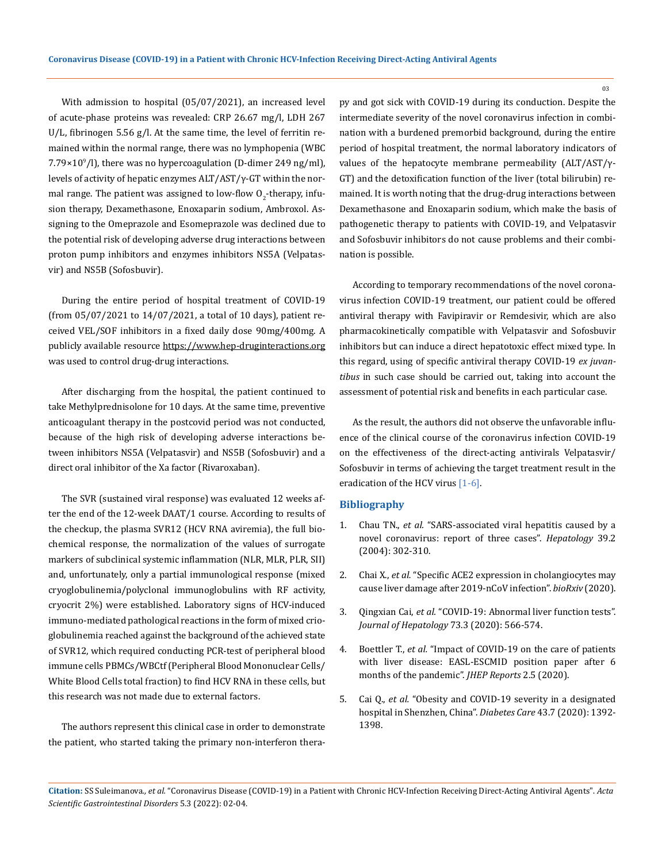With admission to hospital (05/07/2021), an increased level of acute-phase proteins was revealed: CRP 26.67 mg/l, LDH 267 U/L, fibrinogen 5.56 g/l. At the same time, the level of ferritin remained within the normal range, there was no lymphopenia (WBC  $7.79\times10^{9}/$ ], there was no hypercoagulation (D-dimer 249 ng/ml), levels of activity of hepatic enzymes ALT/AST/γ-GT within the normal range. The patient was assigned to low-flow  $O_{2}$ -therapy, infusion therapy, Dexamethasone, Enoxaparin sodium, Ambroxol. Assigning to the Omeprazole and Esomeprazole was declined due to the potential risk of developing adverse drug interactions between proton pump inhibitors and enzymes inhibitors NS5A (Velpatasvir) and NS5B (Sofosbuvir).

During the entire period of hospital treatment of COVID-19 (from 05/07/2021 to 14/07/2021, a total of 10 days), patient received VEL/SOF inhibitors in a fixed daily dose 90mg/400mg. A publicly available resource https://www.hep-druginteractions.org was used to control drug-drug interactions.

After discharging from the hospital, the patient continued to take Methylprednisolone for 10 days. At the same time, preventive anticoagulant therapy in the postcovid period was not conducted, because of the high risk of developing adverse interactions between inhibitors NS5A (Velpatasvir) and NS5B (Sofosbuvir) and a direct oral inhibitor of the Xa factor (Rivaroxaban).

The SVR (sustained viral response) was evaluated 12 weeks after the end of the 12-week DAAT/1 course. According to results of the checkup, the plasma SVR12 (HCV RNA aviremia), the full biochemical response, the normalization of the values of surrogate markers of subclinical systemic inflammation (NLR, MLR, PLR, SII) and, unfortunately, only a partial immunological response (mixed cryoglobulinemia/polyclonal immunoglobulins with RF activity, cryocrit 2%) were established. Laboratory signs of HCV-induced immuno-mediated pathological reactions in the form of mixed crioglobulinemia reached against the background of the achieved state of SVR12, which required conducting PCR-test of peripheral blood immune cells PBMCs/WBCtf (Peripheral Blood Mononuclear Cells/ White Blood Cells total fraction) to find HCV RNA in these cells, but this research was not made due to external factors.

The authors represent this clinical case in order to demonstrate the patient, who started taking the primary non-interferon therapy and got sick with COVID-19 during its conduction. Despite the intermediate severity of the novel сoronavirus infection in combination with a burdened premorbid background, during the entire period of hospital treatment, the normal laboratory indicators of values of the hepatocyte membrane permeability (ALT/AST/γ-GT) and the detoxification function of the liver (total bilirubin) remained. It is worth noting that the drug-drug interactions between Dexamethasone and Enoxaparin sodium, which make the basis of pathogenetic therapy to patients with COVID-19, and Velpatasvir and Sofosbuvir inhibitors do not cause problems and their combination is possible.

According to temporary recommendations of the novel coronavirus infection COVID-19 treatment, our patient could be offered antiviral therapy with Favipiravir or Remdesivir, which are also pharmacokinetically compatible with Velpatasvir and Sofosbuvir inhibitors but can induce a direct hepatotoxic effect mixed type. In this regard, using of specific antiviral therapy COVID-19 *ex juvantibus* in such case should be carried out, taking into account the assessment of potential risk and benefits in each particular case.

As the result, the authors did not observe the unfavorable influence of the clinical course of the coronavirus infection COVID-19 on the effectiveness of the direct-acting antivirals Velpatasvir/ Sofosbuvir in terms of achieving the target treatment result in the eradication of the HCV virus [1-6].

#### **Bibliography**

- 1. Chau TN., *et al.* ["SARS-associated viral hepatitis caused by a](https://pubmed.ncbi.nlm.nih.gov/14767982/)  [novel coronavirus: report of three cases".](https://pubmed.ncbi.nlm.nih.gov/14767982/) *Hepatologу* 39.2 [\(2004\): 302-310.](https://pubmed.ncbi.nlm.nih.gov/14767982/)
- 2. Chai X., *et al.* ["Specific ACE2 expression in cholangiocytes may](https://europepmc.org/article/ppr/ppr111788)  [cause liver damage after 2019-nCoV infection".](https://europepmc.org/article/ppr/ppr111788) *bioRxiv* (2020).
- 3. Qingxian Cai, *et al.* ["COVID-19: Abnormal liver function tests".](https://pubmed.ncbi.nlm.nih.gov/32298767/)  *[Journal of Hepatology](https://pubmed.ncbi.nlm.nih.gov/32298767/)* 73.3 (2020): 566-574.
- 4. Boettler T., *et al.* ["Impact of COVID-19 on the care of patients](https://pubmed.ncbi.nlm.nih.gov/32835190/)  [with liver disease: EASL-ESCMID position paper after 6](https://pubmed.ncbi.nlm.nih.gov/32835190/)  [months of the pandemic".](https://pubmed.ncbi.nlm.nih.gov/32835190/) *JHEP Reports* 2.5 (2020).
- 5. Cai Q., *et al.* ["Obesity and COVID-19 severity in a designated](https://pubmed.ncbi.nlm.nih.gov/32409502/)  [hospital in Shenzhen, China".](https://pubmed.ncbi.nlm.nih.gov/32409502/) *Diabetes Care* 43.7 (2020): 1392- [1398.](https://pubmed.ncbi.nlm.nih.gov/32409502/)

**Citation:** SS Suleimanova*., et al.* "Coronavirus Disease (COVID-19) in a Patient with Chronic HCV-Infection Receiving Direct-Acting Antiviral Agents". *Acta Scientific Gastrointestinal Disorders* 5.3 (2022): 02-04.

03